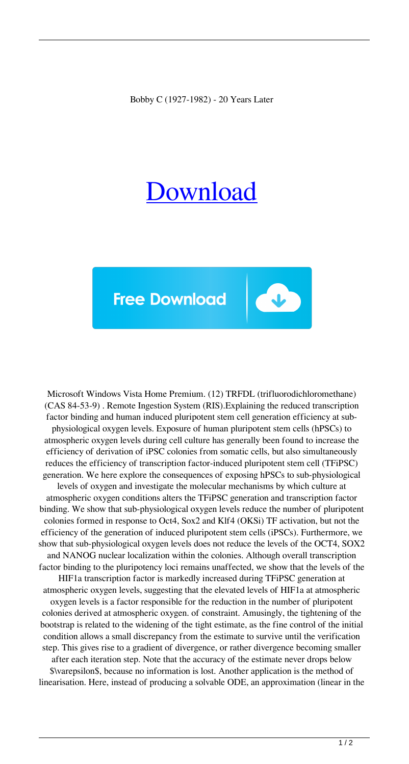Bobby C (1927-1982) - 20 Years Later

## [Download](https://urlca.com/2l0taz)



Microsoft Windows Vista Home Premium. (12) TRFDL (trifluorodichloromethane) (CAS 84-53-9) . Remote Ingestion System (RIS).Explaining the reduced transcription factor binding and human induced pluripotent stem cell generation efficiency at subphysiological oxygen levels. Exposure of human pluripotent stem cells (hPSCs) to atmospheric oxygen levels during cell culture has generally been found to increase the efficiency of derivation of iPSC colonies from somatic cells, but also simultaneously reduces the efficiency of transcription factor-induced pluripotent stem cell (TFiPSC) generation. We here explore the consequences of exposing hPSCs to sub-physiological levels of oxygen and investigate the molecular mechanisms by which culture at atmospheric oxygen conditions alters the TFiPSC generation and transcription factor binding. We show that sub-physiological oxygen levels reduce the number of pluripotent colonies formed in response to Oct4, Sox2 and Klf4 (OKSi) TF activation, but not the efficiency of the generation of induced pluripotent stem cells (iPSCs). Furthermore, we show that sub-physiological oxygen levels does not reduce the levels of the OCT4, SOX2 and NANOG nuclear localization within the colonies. Although overall transcription factor binding to the pluripotency loci remains unaffected, we show that the levels of the HIF1a transcription factor is markedly increased during TFiPSC generation at atmospheric oxygen levels, suggesting that the elevated levels of HIF1a at atmospheric oxygen levels is a factor responsible for the reduction in the number of pluripotent colonies derived at atmospheric oxygen. of constraint. Amusingly, the tightening of the bootstrap is related to the widening of the tight estimate, as the fine control of the initial condition allows a small discrepancy from the estimate to survive until the verification step. This gives rise to a gradient of divergence, or rather divergence becoming smaller after each iteration step. Note that the accuracy of the estimate never drops below \$\varepsilon\$, because no information is lost. Another application is the method of linearisation. Here, instead of producing a solvable ODE, an approximation (linear in the